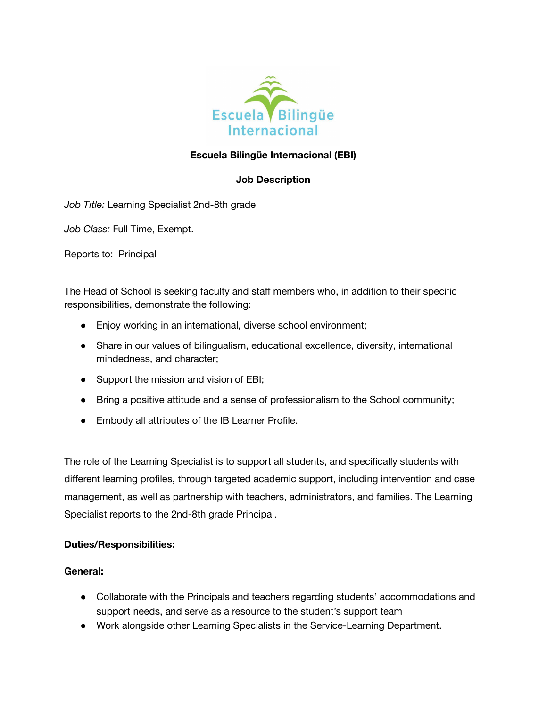

## **Escuela Bilingüe Internacional (EBI)**

### **Job Description**

*Job Title:* Learning Specialist 2nd-8th grade

*Job Class:* Full Time, Exempt.

Reports to: Principal

The Head of School is seeking faculty and staff members who, in addition to their specific responsibilities, demonstrate the following:

- Enjoy working in an international, diverse school environment;
- Share in our values of bilingualism, educational excellence, diversity, international mindedness, and character;
- Support the mission and vision of EBI;
- Bring a positive attitude and a sense of professionalism to the School community;
- Embody all attributes of the IB Learner Profile.

The role of the Learning Specialist is to support all students, and specifically students with different learning profiles, through targeted academic support, including intervention and case management, as well as partnership with teachers, administrators, and families. The Learning Specialist reports to the 2nd-8th grade Principal.

#### **Duties/Responsibilities:**

#### **General:**

- Collaborate with the Principals and teachers regarding students' accommodations and support needs, and serve as a resource to the student's support team
- Work alongside other Learning Specialists in the Service-Learning Department.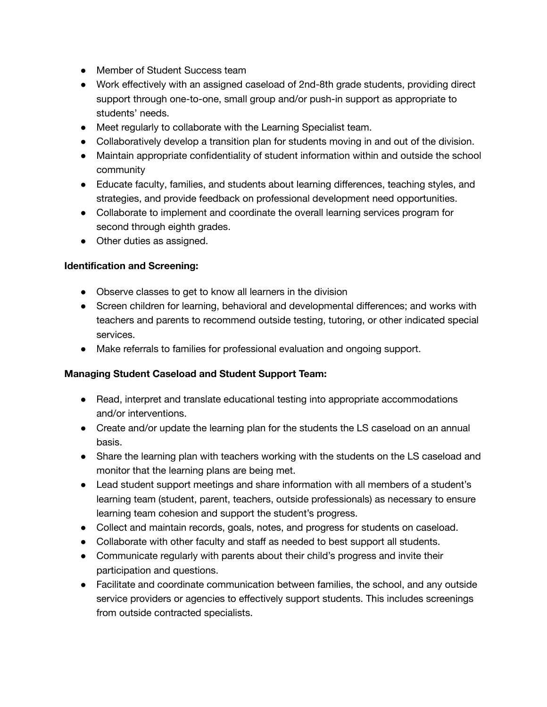- Member of Student Success team
- Work effectively with an assigned caseload of 2nd-8th grade students, providing direct support through one-to-one, small group and/or push-in support as appropriate to students' needs.
- Meet regularly to collaborate with the Learning Specialist team.
- Collaboratively develop a transition plan for students moving in and out of the division.
- Maintain appropriate confidentiality of student information within and outside the school community
- Educate faculty, families, and students about learning differences, teaching styles, and strategies, and provide feedback on professional development need opportunities.
- Collaborate to implement and coordinate the overall learning services program for second through eighth grades.
- Other duties as assigned.

#### **Identification and Screening:**

- Observe classes to get to know all learners in the division
- Screen children for learning, behavioral and developmental differences; and works with teachers and parents to recommend outside testing, tutoring, or other indicated special services.
- Make referrals to families for professional evaluation and ongoing support.

#### **Managing Student Caseload and Student Support Team:**

- Read, interpret and translate educational testing into appropriate accommodations and/or interventions.
- Create and/or update the learning plan for the students the LS caseload on an annual basis.
- Share the learning plan with teachers working with the students on the LS caseload and monitor that the learning plans are being met.
- Lead student support meetings and share information with all members of a student's learning team (student, parent, teachers, outside professionals) as necessary to ensure learning team cohesion and support the student's progress.
- Collect and maintain records, goals, notes, and progress for students on caseload.
- Collaborate with other faculty and staff as needed to best support all students.
- Communicate regularly with parents about their child's progress and invite their participation and questions.
- Facilitate and coordinate communication between families, the school, and any outside service providers or agencies to effectively support students. This includes screenings from outside contracted specialists.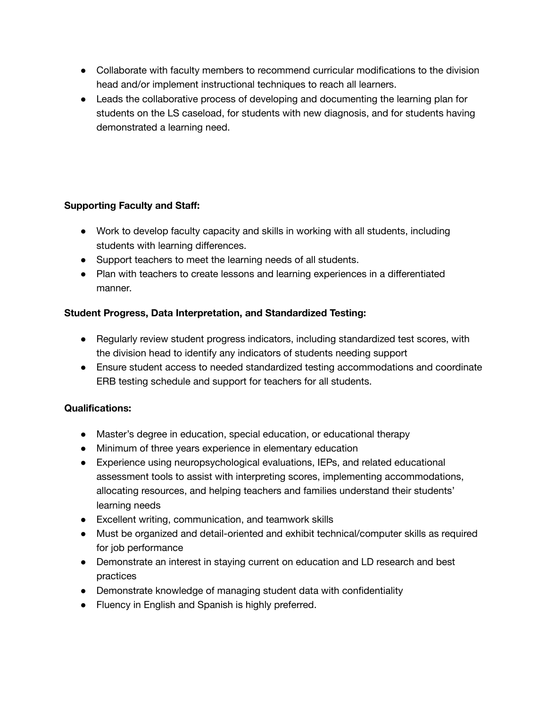- Collaborate with faculty members to recommend curricular modifications to the division head and/or implement instructional techniques to reach all learners.
- Leads the collaborative process of developing and documenting the learning plan for students on the LS caseload, for students with new diagnosis, and for students having demonstrated a learning need.

# **Supporting Faculty and Staff:**

- Work to develop faculty capacity and skills in working with all students, including students with learning differences.
- Support teachers to meet the learning needs of all students.
- Plan with teachers to create lessons and learning experiences in a differentiated manner.

# **Student Progress, Data Interpretation, and Standardized Testing:**

- Regularly review student progress indicators, including standardized test scores, with the division head to identify any indicators of students needing support
- Ensure student access to needed standardized testing accommodations and coordinate ERB testing schedule and support for teachers for all students.

### **Qualifications:**

- Master's degree in education, special education, or educational therapy
- Minimum of three years experience in elementary education
- Experience using neuropsychological evaluations, IEPs, and related educational assessment tools to assist with interpreting scores, implementing accommodations, allocating resources, and helping teachers and families understand their students' learning needs
- Excellent writing, communication, and teamwork skills
- Must be organized and detail-oriented and exhibit technical/computer skills as required for job performance
- Demonstrate an interest in staying current on education and LD research and best practices
- Demonstrate knowledge of managing student data with confidentiality
- Fluency in English and Spanish is highly preferred.